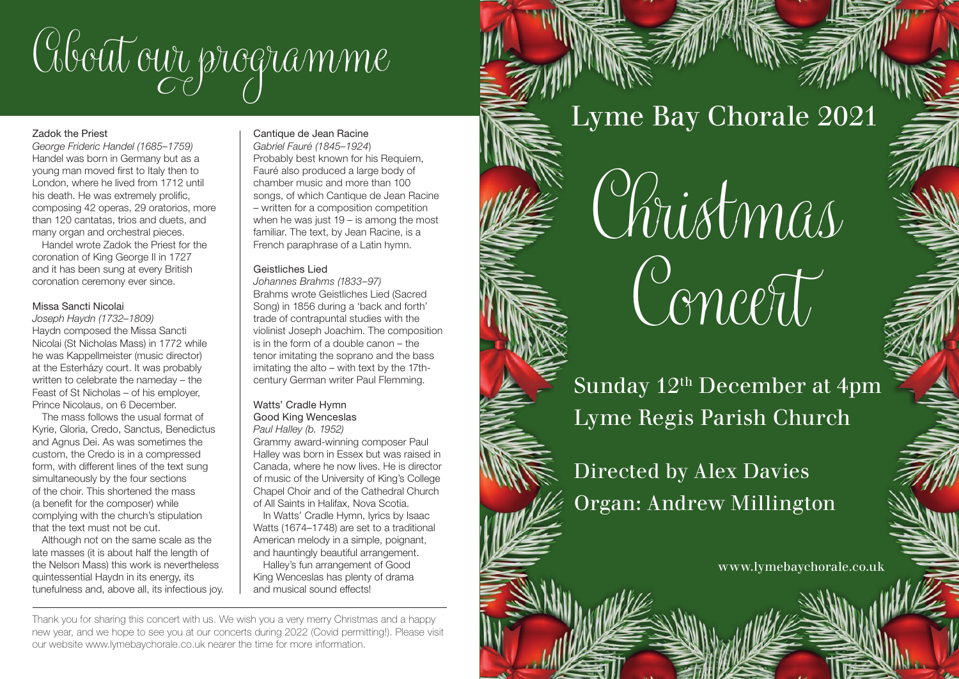

#### Zadok the Priest

*George Frideric Handel (1685–1759)* Handel was born in Germany but as a young man moved first to Italy then to London, where he lived from 1712 until his death. He was extremely prolific, composing 42 operas, 29 oratorios, more than 120 cantatas, trios and duets, and many organ and orchestral pieces.

Handel wrote Zadok the Priest for the coronation of King George II in 1727 and it has been sung at every British coronation ceremony ever since.

### Missa Sancti Nicolai

*Joseph Haydn (1732–1809)* Haydn composed the Missa Sancti Nicolai (St Nicholas Mass) in 1772 while he was Kappellmeister (music director) at the Esterházy court. It was probably written to celebrate the nameday – the Feast of St Nicholas – of his employer, Prince Nicolaus, on 6 December.

The mass follows the usual format of Kyrie, Gloria, Credo, Sanctus, Benedictus and Agnus Dei. As was sometimes the custom, the Credo is in a compressed form, with different lines of the text sung simultaneously by the four sections of the choir. This shortened the mass (a benefit for the composer) while complying with the church's stipulation that the text must not be cut.

Although not on the same scale as the late masses (it is about half the length of the Nelson Mass) this work is nevertheless quintessential Haydn in its energy, its tunefulness and, above all, its infectious joy.

### Cantique de Jean Racine

*Gabriel Fauré (1845–1924*) Probably best known for his Requiem, Fauré also produced a large body of chamber music and more than 100 songs, of which Cantique de Jean Racine – written for a composition competition when he was just 19 – is among the most familiar. The text, by Jean Racine, is a French paraphrase of a Latin hymn.

## Geistliches Lied

*Johannes Brahms (1833–97)* Brahms wrote Geistliches Lied (Sacred Song) in 1856 during a 'back and forth' trade of contrapuntal studies with the violinist Joseph Joachim. The composition is in the form of a double canon – the tenor imitating the soprano and the bass imitating the alto – with text by the 17thcentury German writer Paul Flemming.

# Watts' Cradle Hymn Good King Wenceslas

*Paul Halley (b. 1952)* Grammy award-winning composer Paul Halley was born in Essex but was raised in Canada, where he now lives. He is director of music of the University of King's College Chapel Choir and of the Cathedral Church of All Saints in Halifax, Nova Scotia.

In Watts' Cradle Hymn, lyrics by Isaac Watts (1674–1748) are set to a traditional American melody in a simple, poignant, and hauntingly beautiful arrangement.

Halley's fun arrangement of Good King Wenceslas has plenty of drama and musical sound effects!

Thank you for sharing this concert with us. We wish you a very merry Christmas and a happy new year, and we hope to see you at our concerts during 2022 (Covid permitting!). Please visit our website www.lymebaychorale.co.uk nearer the time for more information.

Lyme Bay Chorale 2021



Sunday 12<sup>th</sup> December at 4pm Lyme Regis Parish Church



Directed by Alex Davies Organ: Andrew Millington

www.lymebaychorale.co.uk